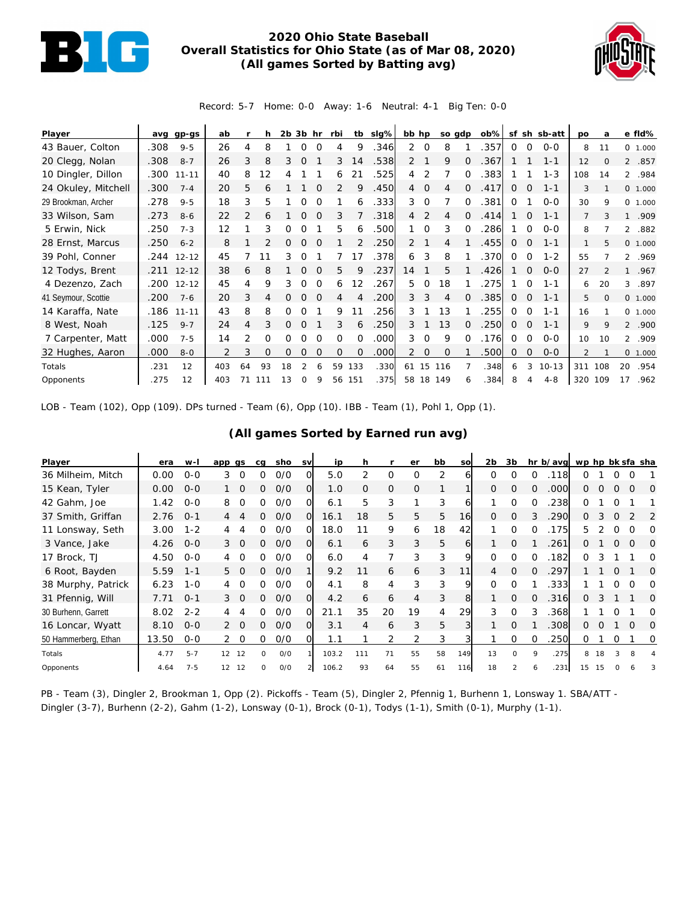

## **2020 Ohio State Baseball Overall Statistics for Ohio State (as of Mar 08, 2020) (All games Sorted by Batting avg)**



Record: 5-7 Home: 0-0 Away: 1-6 Neutral: 4-1 Big Ten: 0-0

| Player              | avq  | gp-gs      | ab  |                |     | $2b$ $3b$ hr |          |          | rbi          |                   | tb sig% | bb hp          |                | so gdp |              | $ob\%$ |              |              | sf sh sb-att | po             | a        |                | e fld%  |
|---------------------|------|------------|-----|----------------|-----|--------------|----------|----------|--------------|-------------------|---------|----------------|----------------|--------|--------------|--------|--------------|--------------|--------------|----------------|----------|----------------|---------|
| 43 Bauer, Colton    | .308 | $9 - 5$    | 26  | 4              | 8   |              | 0        | $\Omega$ | 4            | 9                 | .346    | $\overline{2}$ | $\circ$        | 8      |              | .357   | 0            | $\mathbf 0$  | $0 - 0$      | 8              | 11       |                | 0 1.000 |
| 20 Clegg, Nolan     | .308 | $8 - 7$    | 26  | 3              | 8   | 3            | $\Omega$ |          | 3            | 14                | .538    | $\overline{2}$ |                | 9      | $\Omega$     | .367   |              |              | $1 - 1$      | 12             | $\Omega$ | $\overline{2}$ | .857    |
| 10 Dingler, Dillon  | .300 | $11 - 11$  | 40  | 8              | 12  |              |          |          | 6            | 21                | .525    | 4              | 2              |        | $\Omega$     | .383   |              |              | $1 - 3$      | 108            | 14       |                | 2 .984  |
| 24 Okuley, Mitchell | .300 | $7 - 4$    | 20  | 5              | 6   |              |          | $\Omega$ | 2            | 9                 | .450    | $\overline{4}$ | $\overline{0}$ | 4      | $\Omega$     | .417   | 0            | 0            | $1 - 1$      | 3              |          |                | 0 1.000 |
| 29 Brookman, Archer | .278 | $9 - 5$    | 18  | 3              | 5   |              | O        |          |              | 6                 | .333    | 3              | $\overline{0}$ |        | $\Omega$     | .381   | 0            |              | $0 - 0$      | 30             | 9        |                | 0 1.000 |
| 33 Wilson, Sam      | .273 | $8 - 6$    | 22  | $\mathcal{P}$  | 6   |              |          |          | 3            |                   | .318    | 4              | 2              | 4      | 0            | .414   |              | $\Omega$     | $1 - 1$      | 7              |          | $\mathbf{1}$   | .909    |
| 5 Erwin, Nick       | .250 | $7 - 3$    | 12  |                | 3   |              |          |          | 5            | 6                 | .500    |                | $\Omega$       | 3      | ∩            | 286    |              | $\Omega$     | $0 - 0$      | 8              |          | $\overline{2}$ | .882    |
| 28 Ernst, Marcus    | .250 | $6 - 2$    | 8   |                |     | 0            | $\Omega$ |          |              |                   | .250    | 2              |                | 4      |              | .455   | $\mathbf{0}$ | $\Omega$     | $1 - 1$      | 1              | 5        |                | 0 1.000 |
| 39 Pohl, Conner     |      | .244 12-12 | 45  |                |     | 3            | $\Omega$ |          |              | 17                | .378    | 6              | 3              | 8      |              | .370   | $\mathbf 0$  | $\Omega$     | $1 - 2$      | 55             |          |                | 2 .969  |
| 12 Todys, Brent     |      | .211 12-12 | 38  | 6              | 8   |              |          |          | 5.           | 9                 | .237    | 14             |                | 5      |              | .426   |              | 0            | $0 - 0$      | 27             |          |                | .967    |
| 4 Dezenzo, Zach     |      | .200 12-12 | 45  | 4              | 9   | 3            | $\Omega$ | $\Omega$ | 6            | $12 \overline{ }$ | .267    | 5              | $\Omega$       | 18     |              | .275   |              | $\Omega$     | $1 - 1$      | 6              | 20       | 3              | .897    |
| 41 Seymour, Scottie | .200 | $7 - 6$    | 20  | 3              | 4   |              | 0        | $\Omega$ | 4            |                   | .200    | 3              | 3              | 4      | $\Omega$     | .385   | $\mathbf{0}$ | $\Omega$     | $1 - 1$      | 5              | $\Omega$ |                | 0 1.000 |
| 14 Karaffa, Nate    | .186 | $11 - 11$  | 43  | 8              | 8   | 0            | 0        |          | 9            | 11                | .256    | 3              |                | 13     |              | 255    | 0            | $\Omega$     | $1 - 1$      | 16             |          |                | 0 1.000 |
| 8 West, Noah        | .125 | $9 - 7$    | 24  | 4              | 3   | 0            | Ω        |          | 3            | 6                 | .250    | 3              |                | 13     | <sup>o</sup> | .250   | 0            | $\Omega$     | $1 - 1$      | 9              | Q        |                | 2 .900  |
| 7 Carpenter, Matt   | .000 | $7 - 5$    | 14  | $\overline{2}$ | 0   | 0            | 0        | $\Omega$ | $\Omega$     | $\Omega$          | .000    | 3              | $\Omega$       | 9      | ∩            | .176   | $\Omega$     | $\Omega$     | $0 - 0$      | 10             | 10       |                | 2 .909  |
| 32 Hughes, Aaron    | .000 | $8-0$      |     | 3              | 0   | 0            | Ω        | $\Omega$ | $\mathbf{O}$ | $\Omega$          | .000    | $\overline{2}$ | $\overline{O}$ | 0      |              | 500    | 0            | $\mathbf{O}$ | $0 - 0$      | $\overline{2}$ |          |                | 0 1.000 |
| Totals              | .231 | 12         | 403 | 64             | 93  | 18           |          |          | 59           | 133               | .330    | 61 15          |                | 116    |              | .348   | 6            | 3            | $10 - 13$    | 311            | 108      | 20             | .954    |
| Opponents           | .275 | 12         | 403 |                | 111 | 13           | $\Omega$ | 9        | 56           | 151               | .375    | 58             |                | 18 149 |              | .384   | 8            | 4            | $4 - 8$      | 320            | 109      | 17             | .962    |

LOB - Team (102), Opp (109). DPs turned - Team (6), Opp (10). IBB - Team (1), Pohl 1, Opp (1).

## **(All games Sorted by Earned run avg)**

| Player               | era   | w-l     | app gs          |          | cq       | sho | <b>SV</b> | ip    | h        |               | er       | bb | so           | 2 <sub>b</sub> | 3b           |          | hr b/avg | wp hp bk sfa sha |          |          |          |          |
|----------------------|-------|---------|-----------------|----------|----------|-----|-----------|-------|----------|---------------|----------|----|--------------|----------------|--------------|----------|----------|------------------|----------|----------|----------|----------|
| 36 Milheim, Mitch    | 0.00  | $O-O$   | 3               | $\Omega$ | 0        | 0/0 |           | 5.0   |          | 0             | O        | 2  | <sub>6</sub> | $\Omega$       | O            | 0        | .118     | 0                |          |          |          |          |
| 15 Kean, Tyler       | 0.00  | $O - O$ | $1\quad \Omega$ |          | 0        | O/O | O         | 1.0   | $\Omega$ | $\mathcal{O}$ | $\Omega$ |    |              | $\Omega$       | $\Omega$     | $\Omega$ | .000     | $\Omega$         | $\Omega$ | O        | $\Omega$ | $\Omega$ |
| 42 Gahm, Joe         | 1.42  | $0 - 0$ | 8               | $\Omega$ | 0        | O/O |           | 6.1   | 5        | 3             |          | 3  | 6            |                | $\Omega$     | $\Omega$ | 238      | 0                |          |          |          |          |
| 37 Smith, Griffan    | 2.76  | $O - 1$ | 4               |          | 0        | O/O | $\Omega$  | 16.1  | 18       | 5             | 5        | 5  | <b>16</b>    | $\Omega$       | $\Omega$     |          | 290      | $\Omega$         | 3        | $\Omega$ |          | 2        |
| 11 Lonsway, Seth     | 3.00  | $1 - 2$ | 4               | 4        | 0        | 0/0 | O         | 18.0  |          | 9             | 6        | 18 | 42           |                | $\Omega$     | O        | 175      | 5.               |          | ∩        | ∩        | ∩        |
| 3 Vance, Jake        | 4.26  | $O - O$ | 3               | $\Omega$ | 0        | O/O | Ω         | 6.1   | 6        | 3             | 3        | 5  | 6            |                | $\Omega$     |          | .261     | 0                |          | Ω        | O        | $\Omega$ |
| 17 Brock, TJ         | 4.50  | $O-O$   |                 | $\Omega$ | 0        | O/O | O         | 6.0   |          |               | 3        | 3  | 9            | $\Omega$       | $\Omega$     | $\Omega$ | .182     | 0                |          |          |          |          |
| 6 Root, Bayden       | 5.59  | $1 - 1$ | 5 0             |          | 0        | O/O |           | 9.2   | 11       | 6             | 6        | 3  | 11           | $\overline{4}$ | $\Omega$     | $\Omega$ | 297      |                  |          | $\Omega$ |          | $\Omega$ |
| 38 Murphy, Patrick   | 6.23  | $1 - 0$ |                 |          | ∩        | 0/0 | ∩         | 4.1   | 8        | 4             | 3        | 3  | 9            | $\Omega$       | $\Omega$     |          | .333     |                  |          |          |          | ∩        |
| 31 Pfennig, Will     | 7.71  | $O - 1$ | 3               | $\Omega$ | 0        | O/O | Ω         | 4.2   | 6        | 6             | 4        | 3  | 8            |                | $\mathbf{O}$ | $\Omega$ | .316     | $\Omega$         | 3        |          |          | O        |
| 30 Burhenn, Garrett  | 8.02  | $2 - 2$ |                 |          | ∩        | O/O | $\Omega$  | 21.1  | 35       | 20            | 19       | 4  | 29           | 3              | $\Omega$     | 3        | .368     |                  |          |          |          | Ω        |
| 16 Loncar, Wyatt     | 8.10  | $O - O$ | $2\quad 0$      |          | 0        | 0/0 | Ο         | 3.1   | 4        | 6             | 3        | 5  | 3            |                | $\Omega$     |          | .308     | 0                |          |          | $\Omega$ | $\Omega$ |
| 50 Hammerberg, Ethan | 13.50 | $0 - 0$ | $\overline{2}$  | $\Omega$ | 0        | O/O |           | 1.1   |          | 2             |          | 3  |              |                | 0            | $\Omega$ | .250     | 0                |          | 0        |          | 0        |
| Totals               | 4.77  | $5 - 7$ | 12              | 12       | $\Omega$ | O/O |           | 103.2 | 111      | 71            | 55       | 58 | 149          | 13             | $\Omega$     | $\circ$  | .275     | 8                | 18       | 3        | 8        |          |
| Opponents            | 4.64  | $7 - 5$ | 12              | 12       | $\Omega$ | O/O |           | 106.2 | 93       | 64            | 55       | 61 | 116          | 18             |              |          | .231     | 15               |          |          |          |          |

PB - Team (3), Dingler 2, Brookman 1, Opp (2). Pickoffs - Team (5), Dingler 2, Pfennig 1, Burhenn 1, Lonsway 1. SBA/ATT - Dingler (3-7), Burhenn (2-2), Gahm (1-2), Lonsway (0-1), Brock (0-1), Todys (1-1), Smith (0-1), Murphy (1-1).